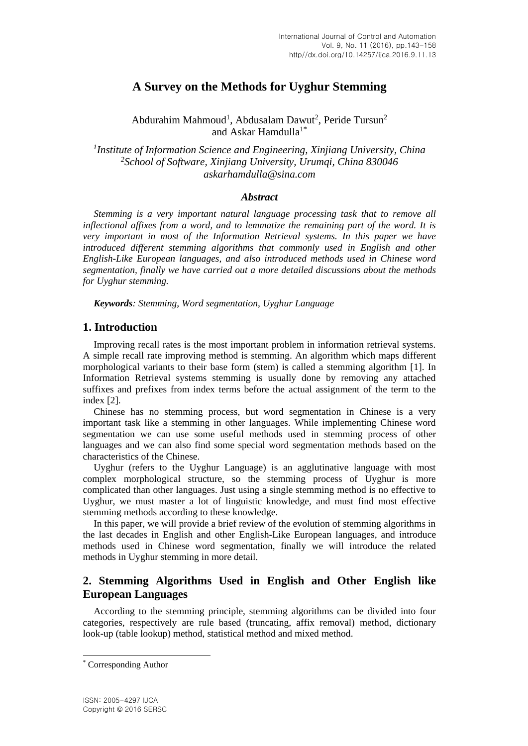# **A Survey on the Methods for Uyghur Stemming**

Abdurahim Mahmoud<sup>1</sup>, Abdusalam Dawut<sup>2</sup>, Peride Tursun<sup>2</sup> and Askar Hamdulla<sup>1\*</sup>

*1 Institute of Information Science and Engineering, Xinjiang University, China <sup>2</sup>School of Software, Xinjiang University, Urumqi, China 830046 askarhamdulla@sina.com*

## *Abstract*

*Stemming is a very important natural language processing task that to remove all inflectional affixes from a word, and to lemmatize the remaining part of the word. It is very important in most of the Information Retrieval systems. In this paper we have introduced different stemming algorithms that commonly used in English and other English-Like European languages, and also introduced methods used in Chinese word segmentation, finally we have carried out a more detailed discussions about the methods for Uyghur stemming.*

*Keywords: Stemming, Word segmentation, Uyghur Language*

# **1. Introduction**

Improving recall rates is the most important problem in information retrieval systems. A simple recall rate improving method is stemming. An algorithm which maps different morphological variants to their base form (stem) is called a stemming algorithm [1]. In Information Retrieval systems stemming is usually done by removing any attached suffixes and prefixes from index terms before the actual assignment of the term to the index [2].

Chinese has no stemming process, but word segmentation in Chinese is a very important task like a stemming in other languages. While implementing Chinese word segmentation we can use some useful methods used in stemming process of other languages and we can also find some special word segmentation methods based on the characteristics of the Chinese.

Uyghur (refers to the Uyghur Language) is an agglutinative language with most complex morphological structure, so the stemming process of Uyghur is more complicated than other languages. Just using a single stemming method is no effective to Uyghur, we must master a lot of linguistic knowledge, and must find most effective stemming methods according to these knowledge.

In this paper, we will provide a brief review of the evolution of stemming algorithms in the last decades in English and other English-Like European languages, and introduce methods used in Chinese word segmentation, finally we will introduce the related methods in Uyghur stemming in more detail.

# **2. Stemming Algorithms Used in English and Other English like European Languages**

According to the stemming principle, stemming algorithms can be divided into four categories, respectively are rule based (truncating, affix removal) method, dictionary look-up (table lookup) method, statistical method and mixed method.

 $\overline{a}$ 

<sup>\*</sup> Corresponding Author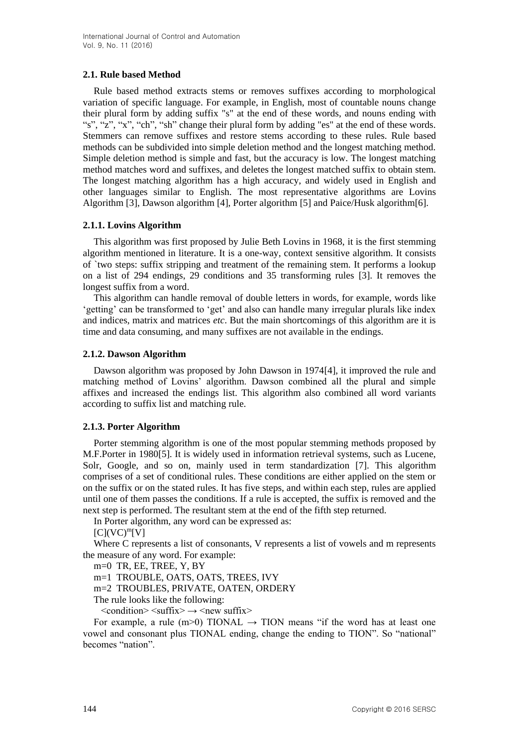## **2.1. Rule based Method**

Rule based method extracts stems or removes suffixes according to morphological variation of specific language. For example, in English, most of countable nouns change their plural form by adding suffix "s" at the end of these words, and nouns ending with "s", "z", "x", "ch", "sh" change their plural form by adding "es" at the end of these words. Stemmers can remove suffixes and restore stems according to these rules. Rule based methods can be subdivided into simple deletion method and the longest matching method. Simple deletion method is simple and fast, but the accuracy is low. The longest matching method matches word and suffixes, and deletes the longest matched suffix to obtain stem. The longest matching algorithm has a high accuracy, and widely used in English and other languages similar to English. The most representative algorithms are Lovins Algorithm [3], Dawson algorithm [4], Porter algorithm [5] and Paice/Husk algorithm[6].

## **2.1.1. Lovins Algorithm**

This algorithm was first proposed by Julie Beth Lovins in 1968, it is the first stemming algorithm mentioned in literature. It is a one-way, context sensitive algorithm. It consists of `two steps: suffix stripping and treatment of the remaining stem. It performs a lookup on a list of 294 endings, 29 conditions and 35 transforming rules [3]. It removes the longest suffix from a word.

This algorithm can handle removal of double letters in words, for example, words like 'getting' can be transformed to 'get' and also can handle many irregular plurals like index and indices, matrix and matrices *etc*. But the main shortcomings of this algorithm are it is time and data consuming, and many suffixes are not available in the endings.

## **2.1.2. Dawson Algorithm**

Dawson algorithm was proposed by John Dawson in 1974[4], it improved the rule and matching method of Lovins' algorithm. Dawson combined all the plural and simple affixes and increased the endings list. This algorithm also combined all word variants according to suffix list and matching rule.

# **2.1.3. Porter Algorithm**

Porter stemming algorithm is one of the most popular stemming methods proposed by M.F.Porter in 1980[5]. It is widely used in information retrieval systems, such as Lucene, Solr, Google, and so on, mainly used in term standardization [7]. This algorithm comprises of a set of conditional rules. These conditions are either applied on the stem or on the suffix or on the stated rules. It has five steps, and within each step, rules are applied until one of them passes the conditions. If a rule is accepted, the suffix is removed and the next step is performed. The resultant stem at the end of the fifth step returned.

In Porter algorithm, any word can be expressed as:

 $[C](VC)^{m}[V]$ 

Where C represents a list of consonants, V represents a list of vowels and m represents the measure of any word. For example:

m=0 TR, EE, TREE, Y, BY

m=1 TROUBLE, OATS, OATS, TREES, IVY

m=2 TROUBLES, PRIVATE, OATEN, ORDERY

The rule looks like the following:

 $\leq$ condition $\geq$   $\leq$ suffix $\geq$   $\to$   $\leq$ new suffix $\geq$ 

For example, a rule (m>0) TIONAL  $\rightarrow$  TION means "if the word has at least one vowel and consonant plus TIONAL ending, change the ending to TION". So "national" becomes "nation".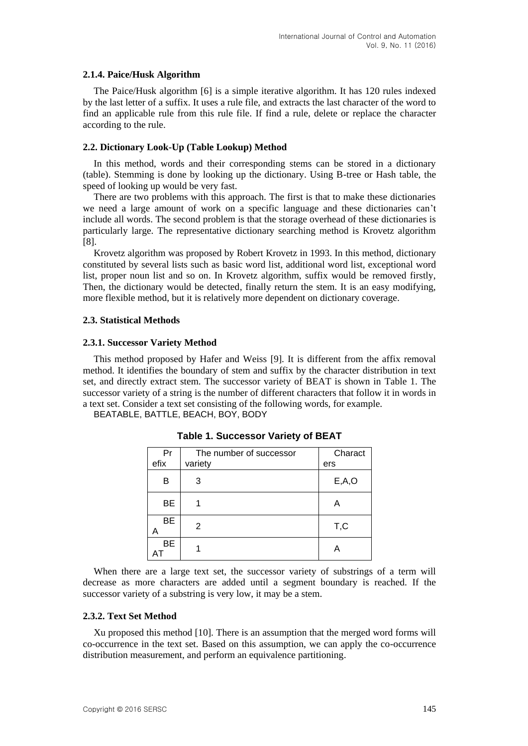#### **2.1.4. Paice/Husk Algorithm**

The Paice/Husk algorithm [6] is a simple iterative algorithm. It has 120 rules indexed by the last letter of a suffix. It uses a rule file, and extracts the last character of the word to find an applicable rule from this rule file. If find a rule, delete or replace the character according to the rule.

#### **2.2. Dictionary Look-Up (Table Lookup) Method**

In this method, words and their corresponding stems can be stored in a dictionary (table). Stemming is done by looking up the dictionary. Using B-tree or Hash table, the speed of looking up would be very fast.

There are two problems with this approach. The first is that to make these dictionaries we need a large amount of work on a specific language and these dictionaries can't include all words. The second problem is that the storage overhead of these dictionaries is particularly large. The representative dictionary searching method is Krovetz algorithm [8].

Krovetz algorithm was proposed by Robert Krovetz in 1993. In this method, dictionary constituted by several lists such as basic word list, additional word list, exceptional word list, proper noun list and so on. In Krovetz algorithm, suffix would be removed firstly, Then, the dictionary would be detected, finally return the stem. It is an easy modifying, more flexible method, but it is relatively more dependent on dictionary coverage.

#### **2.3. Statistical Methods**

#### **2.3.1. Successor Variety Method**

This method proposed by Hafer and Weiss [9]. It is different from the affix removal method. It identifies the boundary of stem and suffix by the character distribution in text set, and directly extract stem. The successor variety of BEAT is shown in Table 1. The successor variety of a string is the number of different characters that follow it in words in a text set. Consider a text set consisting of the following words, for example.

BEATABLE, BATTLE, BEACH, BOY, BODY

| Pr<br>efix | The number of successor<br>variety | Charact<br>ers |
|------------|------------------------------------|----------------|
| В          | 3                                  | E, A, O        |
| <b>BE</b>  |                                    | А              |
| <b>BE</b>  | 2                                  | T,C            |
| BE         |                                    |                |

**Table 1. Successor Variety of BEAT**

When there are a large text set, the successor variety of substrings of a term will decrease as more characters are added until a segment boundary is reached. If the successor variety of a substring is very low, it may be a stem.

#### **2.3.2. Text Set Method**

Xu proposed this method [10]. There is an assumption that the merged word forms will co-occurrence in the text set. Based on this assumption, we can apply the co-occurrence distribution measurement, and perform an equivalence partitioning.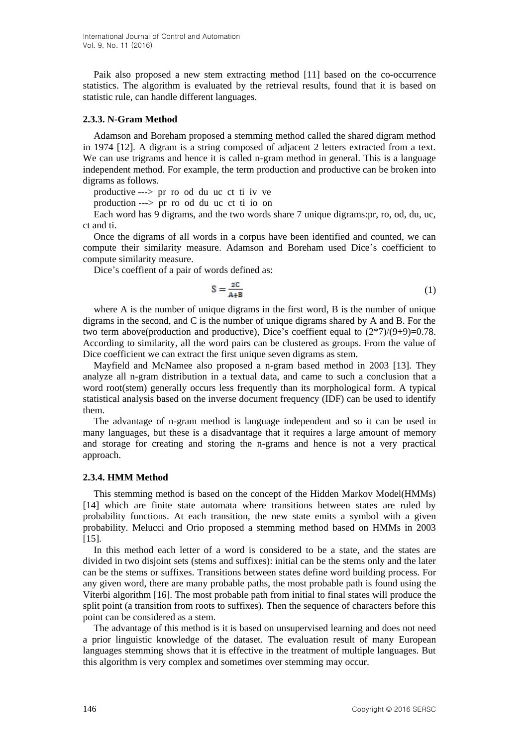Paik also proposed a new stem extracting method [11] based on the co-occurrence statistics. The algorithm is evaluated by the retrieval results, found that it is based on statistic rule, can handle different languages.

#### **2.3.3. N-Gram Method**

Adamson and Boreham proposed a stemming method called the shared digram method in 1974 [12]. A digram is a string composed of adjacent 2 letters extracted from a text. We can use trigrams and hence it is called n-gram method in general. This is a language independent method. For example, the term production and productive can be broken into digrams as follows.

productive ---> pr ro od du uc ct ti iv ve

production ---> pr ro od du uc ct ti io on

Each word has 9 digrams, and the two words share 7 unique digrams:pr, ro, od, du, uc, ct and ti.

Once the digrams of all words in a corpus have been identified and counted, we can compute their similarity measure. Adamson and Boreham used Dice's coefficient to compute similarity measure.

Dice's coeffient of a pair of words defined as:

$$
S = \frac{2C}{A+B} \tag{1}
$$

where A is the number of unique digrams in the first word, B is the number of unique digrams in the second, and C is the number of unique digrams shared by A and B. For the two term above(production and productive), Dice's coeffient equal to  $(2\frac{*7}{(9+9)}=0.78$ . According to similarity, all the word pairs can be clustered as groups. From the value of Dice coefficient we can extract the first unique seven digrams as stem.

Mayfield and McNamee also proposed a n-gram based method in 2003 [13]. They analyze all n-gram distribution in a textual data, and came to such a conclusion that a word root(stem) generally occurs less frequently than its morphological form. A typical statistical analysis based on the inverse document frequency (IDF) can be used to identify them.

The advantage of n-gram method is language independent and so it can be used in many languages, but these is a disadvantage that it requires a large amount of memory and storage for creating and storing the n-grams and hence is not a very practical approach.

#### **2.3.4. HMM Method**

This stemming method is based on the concept of the Hidden Markov Model(HMMs) [14] which are finite state automata where transitions between states are ruled by probability functions. At each transition, the new state emits a symbol with a given probability. Melucci and Orio proposed a stemming method based on HMMs in 2003 [15].

In this method each letter of a word is considered to be a state, and the states are divided in two disjoint sets (stems and suffixes): initial can be the stems only and the later can be the stems or suffixes. Transitions between states define word building process. For any given word, there are many probable paths, the most probable path is found using the Viterbi algorithm [16]. The most probable path from initial to final states will produce the split point (a transition from roots to suffixes). Then the sequence of characters before this point can be considered as a stem.

The advantage of this method is it is based on unsupervised learning and does not need a prior linguistic knowledge of the dataset. The evaluation result of many European languages stemming shows that it is effective in the treatment of multiple languages. But this algorithm is very complex and sometimes over stemming may occur.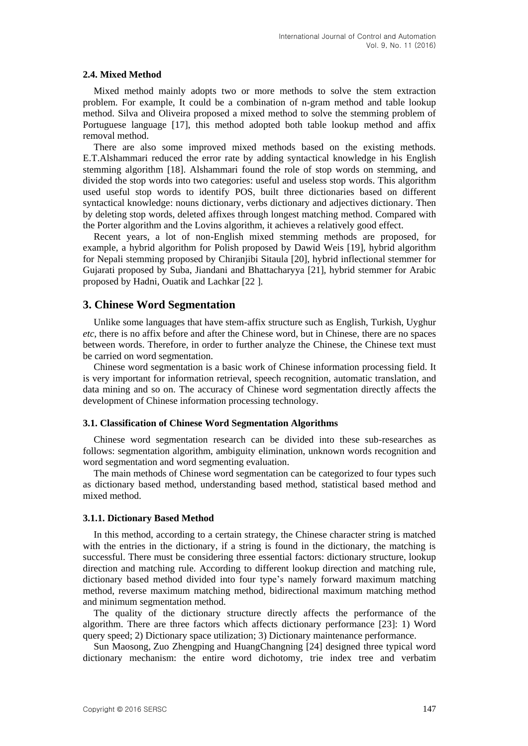#### **2.4. Mixed Method**

Mixed method mainly adopts two or more methods to solve the stem extraction problem. For example, It could be a combination of n-gram method and table lookup method. Silva and Oliveira proposed a mixed method to solve the stemming problem of Portuguese language [17], this method adopted both table lookup method and affix removal method.

There are also some improved mixed methods based on the existing methods. E.T.Alshammari reduced the error rate by adding syntactical knowledge in his English stemming algorithm [18]. Alshammari found the role of stop words on stemming, and divided the stop words into two categories: useful and useless stop words. This algorithm used useful stop words to identify POS, built three dictionaries based on different syntactical knowledge: nouns dictionary, verbs dictionary and adjectives dictionary. Then by deleting stop words, deleted affixes through longest matching method. Compared with the Porter algorithm and the Lovins algorithm, it achieves a relatively good effect.

Recent years, a lot of non-English mixed stemming methods are proposed, for example, a hybrid algorithm for Polish proposed by Dawid Weis [19], hybrid algorithm for Nepali stemming proposed by Chiranjibi Sitaula [20], hybrid inflectional stemmer for Gujarati proposed by [Suba,](http://xueshu.baidu.com/s?wd=author%3A%28Kartik%20Suba%29%20&tn=SE_baiduxueshu_c1gjeupa&ie=utf-8&sc_f_para=sc_hilight%3Dperson) [Jiandani](http://xueshu.baidu.com/s?wd=author%3A%28Dipti%20Jiandani%29%20&tn=SE_baiduxueshu_c1gjeupa&ie=utf-8&sc_f_para=sc_hilight%3Dperson) and [Bhattacharyya](http://xueshu.baidu.com/s?wd=author%3A%28Pushpak%20Bhattacharyya%29%20&tn=SE_baiduxueshu_c1gjeupa&ie=utf-8&sc_f_para=sc_hilight%3Dperson) [21], hybrid stemmer for Arabic proposed by [Hadni,](http://xueshu.baidu.com/s?wd=author%3A%28Meryeme%20Hadni%29%20&tn=SE_baiduxueshu_c1gjeupa&ie=utf-8&sc_f_para=sc_hilight%3Dperson) [Ouatik](http://xueshu.baidu.com/s?wd=author%3A%28Said%20Alaoui%20Ouatik%29%20&tn=SE_baiduxueshu_c1gjeupa&ie=utf-8&sc_f_para=sc_hilight%3Dperson) and [Lachkar](http://xueshu.baidu.com/s?wd=author%3A%28Abdelmonaime%20Lachkar%29%20&tn=SE_baiduxueshu_c1gjeupa&ie=utf-8&sc_f_para=sc_hilight%3Dperson) [22 ].

# **3. Chinese Word Segmentation**

Unlike some languages that have stem-affix structure such as English, Turkish, Uyghur *etc*, there is no affix before and after the Chinese word, but in Chinese, there are no spaces between words. Therefore, in order to further analyze the Chinese, the Chinese text must be carried on word segmentation.

Chinese word segmentation is a basic work of Chinese information processing field. It is very important for information retrieval, speech recognition, automatic translation, and data mining and so on. The accuracy of Chinese word segmentation directly affects the development of Chinese information processing technology.

#### **3.1. Classification of Chinese Word Segmentation Algorithms**

Chinese word segmentation research can be divided into these sub-researches as follows: segmentation algorithm, ambiguity elimination, unknown words recognition and word segmentation and word segmenting evaluation.

The main methods of Chinese word segmentation can be categorized to four types such as dictionary based method, understanding based method, statistical based method and mixed method.

#### **3.1.1. Dictionary Based Method**

In this method, according to a certain strategy, the Chinese character string is matched with the entries in the dictionary, if a string is found in the dictionary, the matching is successful. There must be considering three essential factors: dictionary structure, lookup direction and matching rule. According to different lookup direction and matching rule, dictionary based method divided into four type's namely forward maximum matching method, reverse maximum matching method, bidirectional maximum matching method and minimum segmentation method.

The quality of the dictionary structure directly affects the performance of the algorithm. There are three factors which affects dictionary performance [23]: 1) Word query speed; 2) Dictionary space utilization; 3) Dictionary maintenance performance.

Sun Maosong, Zuo Zhengping and HuangChangning [24] designed three typical word dictionary mechanism: the entire word dichotomy, trie index tree and verbatim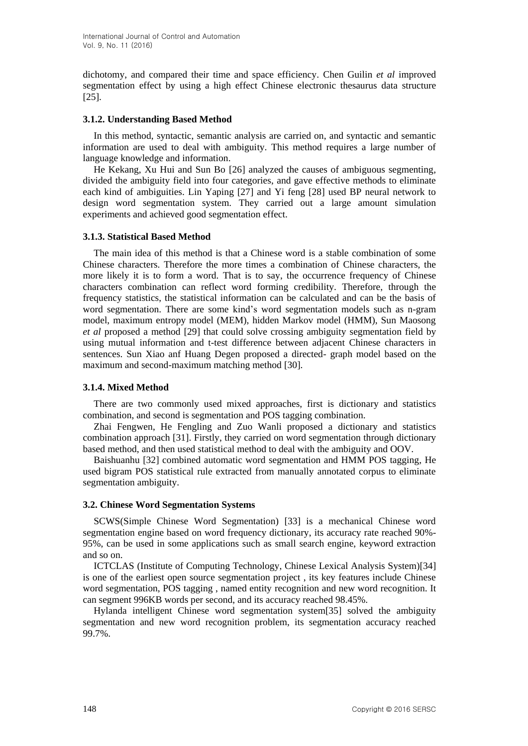dichotomy, and compared their time and space efficiency. Chen Guilin *et al* improved segmentation effect by using a high effect Chinese electronic thesaurus data structure [25].

#### **3.1.2. Understanding Based Method**

In this method, syntactic, semantic analysis are carried on, and syntactic and semantic information are used to deal with ambiguity. This method requires a large number of language knowledge and information.

He Kekang, Xu Hui and Sun Bo [26] analyzed the causes of ambiguous segmenting, divided the ambiguity field into four categories, and gave effective methods to eliminate each kind of ambiguities. Lin Yaping [27] and Yi feng [28] used BP neural network to design word segmentation system. They carried out a large amount simulation experiments and achieved good segmentation effect.

## **3.1.3. Statistical Based Method**

The main idea of this method is that a Chinese word is a stable combination of some Chinese characters. Therefore the more times a combination of Chinese characters, the more likely it is to form a word. That is to say, the occurrence frequency of Chinese characters combination can reflect word forming credibility. Therefore, through the frequency statistics, the statistical information can be calculated and can be the basis of word segmentation. There are some kind's word segmentation models such as n-gram model, maximum entropy model (MEM), hidden Markov model (HMM), Sun Maosong *et al* proposed a method [29] that could solve crossing ambiguity segmentation field by using mutual information and t-test difference between adjacent Chinese characters in sentences. Sun Xiao anf Huang Degen proposed a directed- graph model based on the maximum and second-maximum matching method [30].

# **3.1.4. Mixed Method**

There are two commonly used mixed approaches, first is dictionary and statistics combination, and second is segmentation and POS tagging combination.

Zhai Fengwen, He Fengling and Zuo Wanli proposed a dictionary and statistics combination approach [31]. Firstly, they carried on word segmentation through dictionary based method, and then used statistical method to deal with the ambiguity and OOV.

Baishuanhu [32] combined automatic word segmentation and HMM POS tagging, He used bigram POS statistical rule extracted from manually annotated corpus to eliminate segmentation ambiguity.

# **3.2. Chinese Word Segmentation Systems**

SCWS(Simple Chinese Word Segmentation) [33] is a mechanical Chinese word segmentation engine based on word frequency dictionary, its accuracy rate reached 90%- 95%, can be used in some applications such as small search engine, keyword extraction and so on.

ICTCLAS (Institute of Computing Technology, Chinese Lexical Analysis System)[34] is one of the earliest open source segmentation project , its key features include Chinese word segmentation, POS tagging , named entity recognition and new word recognition. It can segment 996KB words per second, and its accuracy reached 98.45%.

Hylanda intelligent Chinese word segmentation system[35] solved the ambiguity segmentation and new word recognition problem, its segmentation accuracy reached 99.7%.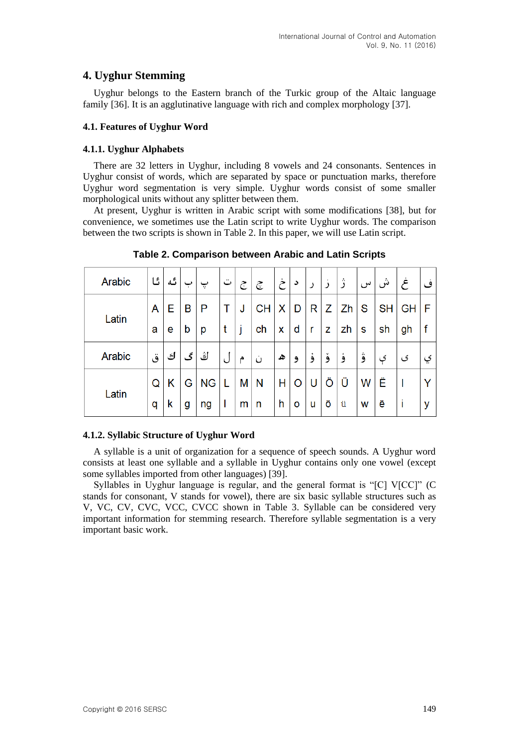# **4. Uyghur Stemming**

Uyghur belongs to the Eastern branch of the Turkic group of the Altaic language family [36]. It is an agglutinative language with rich and complex morphology [37].

## **4.1. Features of Uyghur Word**

## **4.1.1. Uyghur Alphabets**

There are 32 letters in Uyghur, including 8 vowels and 24 consonants. Sentences in Uyghur consist of words, which are separated by space or punctuation marks, therefore Uyghur word segmentation is very simple. Uyghur words consist of some smaller morphological units without any splitter between them.

At present, Uyghur is written in Arabic script with some modifications [38], but for convenience, we sometimes use the Latin script to write Uyghur words. The comparison between the two scripts is shown in Table 2. In this paper, we will use Latin script.

| Arabic | ئا | گە |   | پ         | ت | ج | چ         | خ | د       |   |   | î  | س | ش         | غ         | ۹           |
|--------|----|----|---|-----------|---|---|-----------|---|---------|---|---|----|---|-----------|-----------|-------------|
| Latin  | A  | Е  | B | P         | Τ | J | <b>CH</b> | X | D       | R | Ζ | Zh | S | <b>SH</b> | <b>GH</b> | F           |
|        | a  | e  | b | p         | t |   | ch        | X | d       | r | z | zh | s | sh        | gh        | $\mathbf f$ |
| Arabic | ق  | ك  | گ | ڭ         | J | م | ن         | ھ | و       | و | و | و  | ۋ | ې         | ی         | ؼ           |
| Latin  | Q  | Κ  | G | <b>NG</b> | L | M | N         | н | $\circ$ | U | O | Ü  | W | Ë         |           | Υ           |
|        | q  | k  | g | ng        | ı | m | n         | h | o       | u | Ö | ü  | W | ë         |           | y           |

**Table 2. Comparison between Arabic and Latin Scripts**

# **4.1.2. Syllabic Structure of Uyghur Word**

A syllable is a unit of organization for a sequence of speech sounds. A Uyghur word consists at least one syllable and a syllable in Uyghur contains only one vowel (except some syllables imported from other languages) [39].

Syllables in Uyghur language is regular, and the general format is "[C] V[CC]" (C stands for consonant, V stands for vowel), there are six basic syllable structures such as V, VC, CV, CVC, VCC, CVCC shown in Table 3. Syllable can be considered very important information for stemming research. Therefore syllable segmentation is a very important basic work.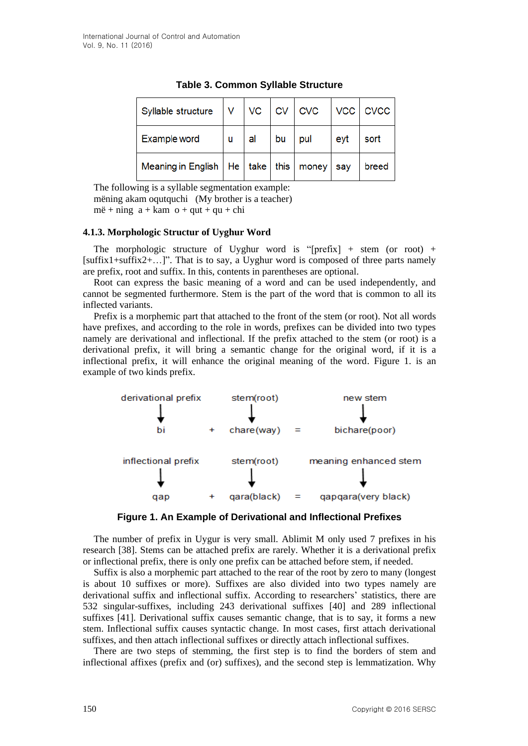| Syllable structure                          | v | VC | <b>CV</b> | $\mid$ CVC |     | VCC CVCC |
|---------------------------------------------|---|----|-----------|------------|-----|----------|
| Example word                                | u | al | bu        | pul        | eyt | sort     |
| Meaning in English $ $ He $ $ take $ $ this |   |    |           | money      | sav | breed    |

**Table 3. Common Syllable Structure**

The following is a syllable segmentation example: mëning akam oqutquchi (My brother is a teacher)  $m\ddot{e} + n\dot{n}g$  a + kam o + qut + qu + chi

#### **4.1.3. Morphologic Structur of Uyghur Word**

The morphologic structure of Uyghur word is "[prefix] + stem (or root) +  $[suffix1+suffix2+...]$ ". That is to say, a Uyghur word is composed of three parts namely are prefix, root and suffix. In this, contents in parentheses are optional.

Root can express the basic meaning of a word and can be used independently, and cannot be segmented furthermore. Stem is the part of the word that is common to all its inflected variants.

Prefix is a morphemic part that attached to the front of the stem (or root). Not all words have prefixes, and according to the role in words, prefixes can be divided into two types namely are derivational and inflectional. If the prefix attached to the stem (or root) is a derivational prefix, it will bring a semantic change for the original word, if it is a inflectional prefix, it will enhance the original meaning of the word. Figure 1. is an example of two kinds prefix.



**Figure 1. An Example of Derivational and Inflectional Prefixes**

The number of prefix in Uygur is very small. Ablimit M only used 7 prefixes in his research [38]. Stems can be attached prefix are rarely. Whether it is a derivational prefix or inflectional prefix, there is only one prefix can be attached before stem, if needed.

Suffix is also a morphemic part attached to the rear of the root by zero to many (longest is about 10 suffixes or more). Suffixes are also divided into two types namely are derivational suffix and inflectional suffix. According to researchers' statistics, there are 532 singular-suffixes, including 243 derivational suffixes [40] and 289 inflectional suffixes [41]. Derivational suffix causes semantic change, that is to say, it forms a new stem. Inflectional suffix causes syntactic change. In most cases, first attach derivational suffixes, and then attach inflectional suffixes or directly attach inflectional suffixes.

There are two steps of stemming, the first step is to find the borders of stem and inflectional affixes (prefix and (or) suffixes), and the second step is lemmatization. Why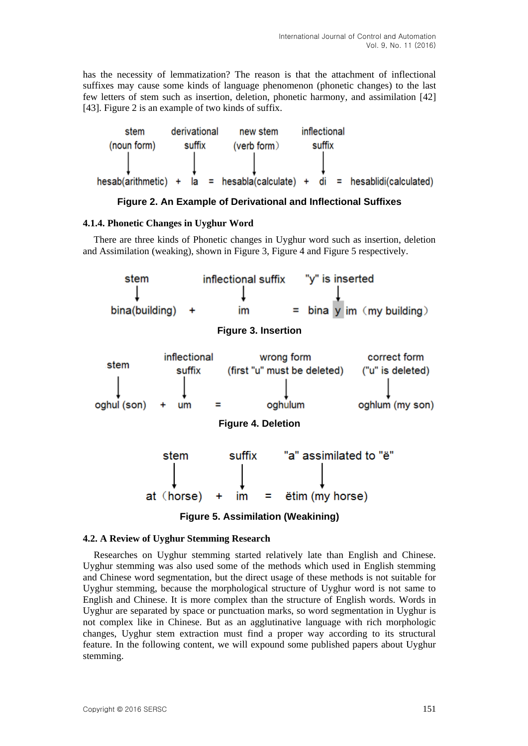has the necessity of lemmatization? The reason is that the attachment of inflectional suffixes may cause some kinds of language phenomenon (phonetic changes) to the last few letters of stem such as insertion, deletion, phonetic harmony, and assimilation [42] [43]. Figure 2 is an example of two kinds of suffix.



#### **Figure 2. An Example of Derivational and Inflectional Suffixes**

#### **4.1.4. Phonetic Changes in Uyghur Word**

There are three kinds of Phonetic changes in Uyghur word such as insertion, deletion and Assimilation (weaking), shown in Figure 3, Figure 4 and Figure 5 respectively.



#### **4.2. A Review of Uyghur Stemming Research**

Researches on Uyghur stemming started relatively late than English and Chinese. Uyghur stemming was also used some of the methods which used in English stemming and Chinese word segmentation, but the direct usage of these methods is not suitable for Uyghur stemming, because the morphological structure of Uyghur word is not same to English and Chinese. It is more complex than the structure of English words. Words in Uyghur are separated by space or punctuation marks, so word segmentation in Uyghur is not complex like in Chinese. But as an agglutinative language with rich morphologic changes, Uyghur stem extraction must find a proper way according to its structural feature. In the following content, we will expound some published papers about Uyghur stemming.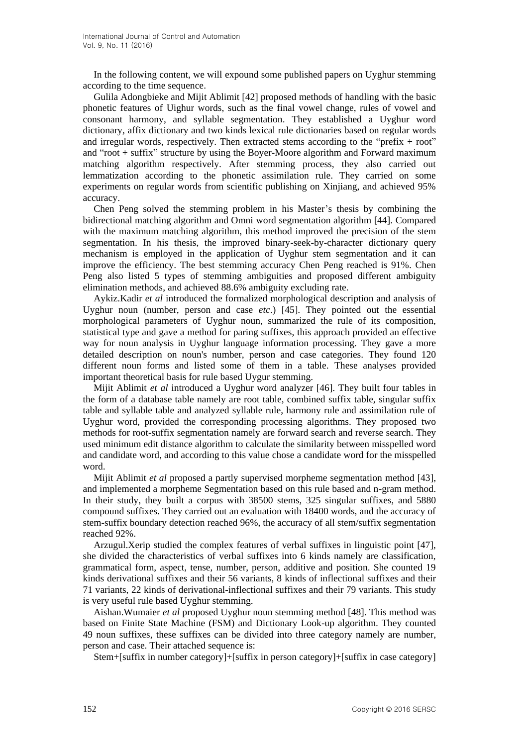In the following content, we will expound some published papers on Uyghur stemming according to the time sequence.

Gulila Adongbieke and Mijit Ablimit [42] proposed methods of handling with the basic phonetic features of Uighur words, such as the final vowel change, rules of vowel and consonant harmony, and syllable segmentation. They established a Uyghur word dictionary, affix dictionary and two kinds lexical rule dictionaries based on regular words and irregular words, respectively. Then extracted stems according to the "prefix + root" and "root + suffix" structure by using the Boyer-Moore algorithm and Forward maximum matching algorithm respectively. After stemming process, they also carried out lemmatization according to the phonetic assimilation rule. They carried on some experiments on regular words from scientific publishing on Xinjiang, and achieved 95% accuracy.

Chen Peng solved the stemming problem in his Master's thesis by combining the bidirectional matching algorithm and Omni word segmentation algorithm [44]. Compared with the maximum matching algorithm, this method improved the precision of the stem segmentation. In his thesis, the improved binary-seek-by-character dictionary query mechanism is employed in the application of Uyghur stem segmentation and it can improve the efficiency. The best stemming accuracy Chen Peng reached is 91%. Chen Peng also listed 5 types of stemming ambiguities and proposed different ambiguity elimination methods, and achieved 88.6% ambiguity excluding rate.

Aykiz.Kadir *et al* introduced the formalized morphological description and analysis of Uyghur noun (number, person and case *etc*.) [45]. They pointed out the essential morphological parameters of Uyghur noun, summarized the rule of its composition, statistical type and gave a method for paring suffixes, this approach provided an effective way for noun analysis in Uyghur language information processing. They gave a more detailed description on noun's number, person and case categories. They found 120 different noun forms and listed some of them in a table. These analyses provided important theoretical basis for rule based Uygur stemming.

Mijit Ablimit *et al* introduced a Uyghur word analyzer [46]. They built four tables in the form of a database table namely are root table, combined suffix table, singular suffix table and syllable table and analyzed syllable rule, harmony rule and assimilation rule of Uyghur word, provided the corresponding processing algorithms. They proposed two methods for root-suffix segmentation namely are forward search and reverse search. They used minimum edit distance algorithm to calculate the similarity between misspelled word and candidate word, and according to this value chose a candidate word for the misspelled word.

Mijit Ablimit *et al* proposed a partly supervised morpheme segmentation method [43], and implemented a morpheme Segmentation based on this rule based and n-gram method. In their study, they built a corpus with 38500 stems, 325 singular suffixes, and 5880 compound suffixes. They carried out an evaluation with 18400 words, and the accuracy of stem-suffix boundary detection reached 96%, the accuracy of all stem/suffix segmentation reached 92%.

Arzugul.Xerip studied the complex features of verbal suffixes in linguistic point [47], she divided the characteristics of verbal suffixes into 6 kinds namely are classification, grammatical form, aspect, tense, number, person, additive and position. She counted 19 kinds derivational suffixes and their 56 variants, 8 kinds of inflectional suffixes and their 71 variants, 22 kinds of derivational-inflectional suffixes and their 79 variants. This study is very useful rule based Uyghur stemming.

Aishan.Wumaier *et al* proposed Uyghur noun stemming method [48]. This method was based on Finite State Machine (FSM) and Dictionary Look-up algorithm. They counted 49 noun suffixes, these suffixes can be divided into three category namely are number, person and case. Their attached sequence is:

Stem+[suffix in number category]+[suffix in person category]+[suffix in case category]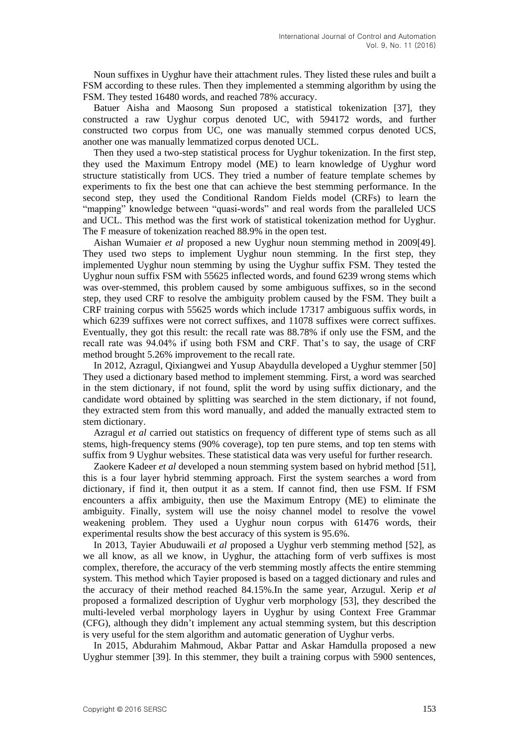Noun suffixes in Uyghur have their attachment rules. They listed these rules and built a FSM according to these rules. Then they implemented a stemming algorithm by using the FSM. They tested 16480 words, and reached 78% accuracy.

Batuer Aisha and Maosong Sun proposed a statistical tokenization [37], they constructed a raw Uyghur corpus denoted UC, with 594172 words, and further constructed two corpus from UC, one was manually stemmed corpus denoted UCS, another one was manually lemmatized corpus denoted UCL.

Then they used a two-step statistical process for Uyghur tokenization. In the first step, they used the Maximum Entropy model (ME) to learn knowledge of Uyghur word structure statistically from UCS. They tried a number of feature template schemes by experiments to fix the best one that can achieve the best stemming performance. In the second step, they used the Conditional Random Fields model (CRFs) to learn the "mapping" knowledge between "quasi-words" and real words from the paralleled UCS and UCL. This method was the first work of statistical tokenization method for Uyghur. The F measure of tokenization reached 88.9% in the open test.

Aishan Wumaier *et al* proposed a new Uyghur noun stemming method in 2009[49]. They used two steps to implement Uyghur noun stemming. In the first step, they implemented Uyghur noun stemming by using the Uyghur suffix FSM. They tested the Uyghur noun suffix FSM with 55625 inflected words, and found 6239 wrong stems which was over-stemmed, this problem caused by some ambiguous suffixes, so in the second step, they used CRF to resolve the ambiguity problem caused by the FSM. They built a CRF training corpus with 55625 words which include 17317 ambiguous suffix words, in which 6239 suffixes were not correct suffixes, and 11078 suffixes were correct suffixes. Eventually, they got this result: the recall rate was 88.78% if only use the FSM, and the recall rate was 94.04% if using both FSM and CRF. That's to say, the usage of CRF method brought 5.26% improvement to the recall rate.

In 2012, Azragul, Qixiangwei and Yusup Abaydulla developed a Uyghur stemmer [50] They used a dictionary based method to implement stemming. First, a word was searched in the stem dictionary, if not found, split the word by using suffix dictionary, and the candidate word obtained by splitting was searched in the stem dictionary, if not found, they extracted stem from this word manually, and added the manually extracted stem to stem dictionary.

Azragul *et al* carried out statistics on frequency of different type of stems such as all stems, high-frequency stems (90% coverage), top ten pure stems, and top ten stems with suffix from 9 Uyghur websites. These statistical data was very useful for further research.

Zaokere Kadeer *et al* developed a noun stemming system based on hybrid method [51], this is a four layer hybrid stemming approach. First the system searches a word from dictionary, if find it, then output it as a stem. If cannot find, then use FSM. If FSM encounters a affix ambiguity, then use the Maximum Entropy (ME) to eliminate the ambiguity. Finally, system will use the noisy channel model to resolve the vowel weakening problem. They used a Uyghur noun corpus with 61476 words, their experimental results show the best accuracy of this system is 95.6%.

In 2013, Tayier Abuduwaili *et al* proposed a Uyghur verb stemming method [52], as we all know, as all we know, in Uyghur, the attaching form of verb suffixes is most complex, therefore, the accuracy of the verb stemming mostly affects the entire stemming system. This method which Tayier proposed is based on a tagged dictionary and rules and the accuracy of their method reached 84.15%.In the same year, Arzugul. Xerip *et al* proposed a formalized description of Uyghur verb morphology [53], they described the multi-leveled verbal morphology layers in Uyghur by using Context Free Grammar (CFG), although they didn't implement any actual stemming system, but this description is very useful for the stem algorithm and automatic generation of Uyghur verbs.

In 2015, Abdurahim Mahmoud, Akbar Pattar and Askar Hamdulla proposed a new Uyghur stemmer [39]. In this stemmer, they built a training corpus with 5900 sentences,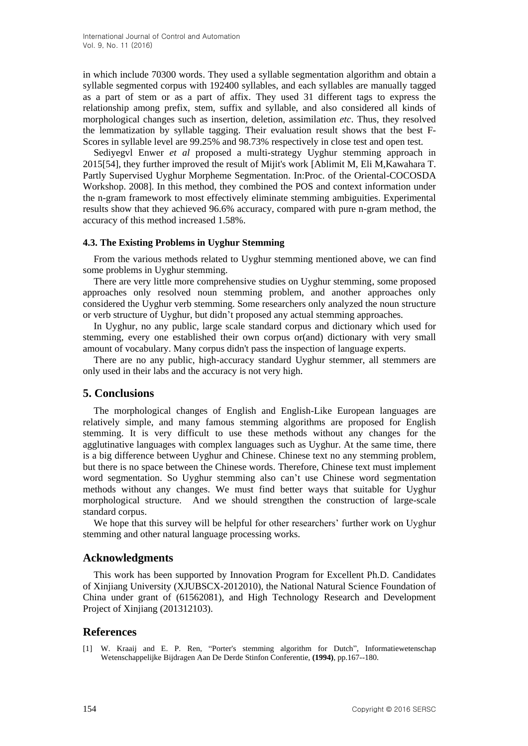in which include 70300 words. They used a syllable segmentation algorithm and obtain a syllable segmented corpus with 192400 syllables, and each syllables are manually tagged as a part of stem or as a part of affix. They used 31 different tags to express the relationship among prefix, stem, suffix and syllable, and also considered all kinds of morphological changes such as insertion, deletion, assimilation *etc*. Thus, they resolved the lemmatization by syllable tagging. Their evaluation result shows that the best F-Scores in syllable level are 99.25% and 98.73% respectively in close test and open test.

Sediyegvl Enwer *et al* proposed a multi-strategy Uyghur stemming approach in 2015[54], they further improved the result of Mijit's work [Ablimit M, Eli M,Kawahara T. Partly Supervised Uyghur Morpheme Segmentation. In:Proc. of the Oriental-COCOSDA Workshop. 2008]. In this method, they combined the POS and context information under the n-gram framework to most effectively eliminate stemming ambiguities. Experimental results show that they achieved 96.6% accuracy, compared with pure n-gram method, the accuracy of this method increased 1.58%.

#### **4.3. The Existing Problems in Uyghur Stemming**

From the various methods related to Uyghur stemming mentioned above, we can find some problems in Uyghur stemming.

There are very little more comprehensive studies on Uyghur stemming, some proposed approaches only resolved noun stemming problem, and another approaches only considered the Uyghur verb stemming. Some researchers only analyzed the noun structure or verb structure of Uyghur, but didn't proposed any actual stemming approaches.

In Uyghur, no any public, large scale standard corpus and dictionary which used for stemming, every one established their own corpus or(and) dictionary with very small amount of vocabulary. Many corpus didn't pass the inspection of language experts.

There are no any public, high-accuracy standard Uyghur stemmer, all stemmers are only used in their labs and the accuracy is not very high.

# **5. Conclusions**

The morphological changes of English and English-Like European languages are relatively simple, and many famous stemming algorithms are proposed for English stemming. It is very difficult to use these methods without any changes for the agglutinative languages with complex languages such as Uyghur. At the same time, there is a big difference between Uyghur and Chinese. Chinese text no any stemming problem, but there is no space between the Chinese words. Therefore, Chinese text must implement word segmentation. So Uyghur stemming also can't use Chinese word segmentation methods without any changes. We must find better ways that suitable for Uyghur morphological structure. And we should strengthen the construction of large-scale standard corpus.

We hope that this survey will be helpful for other researchers' further work on Uyghur stemming and other natural language processing works.

#### **Acknowledgments**

This work has been supported by Innovation Program for Excellent Ph.D. Candidates of Xinjiang University (XJUBSCX-2012010), the National Natural Science Foundation of China under grant of (61562081), and High Technology Research and Development Project of Xinjiang (201312103).

#### **References**

[1] W. Kraaij and E. P. Ren, "Porter's stemming algorithm for Dutch", Informatiewetenschap Wetenschappelijke Bijdragen Aan De Derde Stinfon Conferentie, **(1994)**, pp.167--180.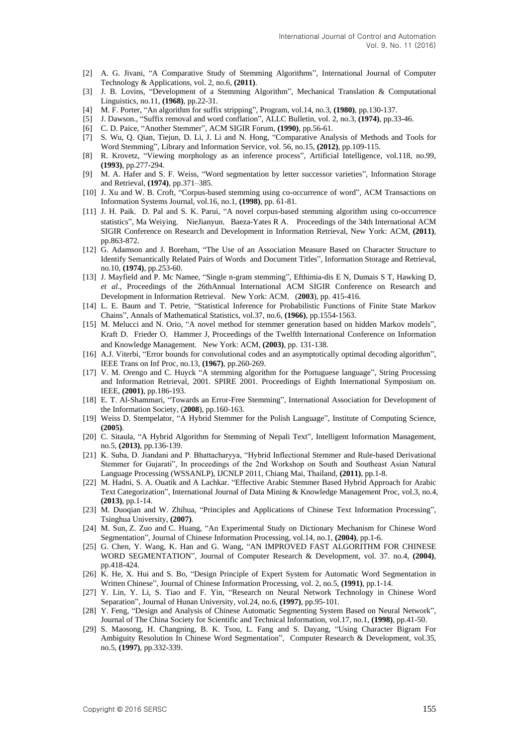- [2] A. G. Jivani, "A Comparative Study of Stemming Algorithms", International Journal of Computer Technology & Applications, vol. 2, no.6, **(2011)**.
- [3] J. B. Lovins, "Development of a Stemming Algorithm", Mechanical Translation & Computational Linguistics, no.11, **(1968)**, pp.22-31.
- [4] M. F. Porter, "An algorithm for suffix stripping", Program, vol.14, no.3, **(1980)**, pp.130-137.
- [5] J. Dawson., "Suffix removal and word conflation", ALLC Bulletin, vol. 2, no.3, **(1974)**, pp.33-46.
- [6] C. D. Paice, "Another Stemmer", ACM SIGIR Forum, **(1990)**, pp.56-61.
- [7] S. Wu, Q. Qian, Tiejun, D. Li, J. Li and N. Hong, "Comparative Analysis of Methods and Tools for Word Stemming", Library and Information Service, vol. 56, no.15, **(2012)**, pp.109-115.
- [8] R. Krovetz, "Viewing morphology as an inference process", Artificial Intelligence, vol.118, no.99, **(1993)**, pp.277-294.
- [9] M. A. Hafer and S. F. Weiss, "Word segmentation by letter successor varieties", Information Storage and Retrieval, **(1974)**, pp.371–385.
- [10] J. Xu and W. B. Croft, "Corpus-based stemming using co-occurrence of word", ACM Transactions on Information Systems Journal, vol.16, no.1, **(1998)**, pp. 61-81.
- [11] J. H. Paik, D. Pal and S. K. Parui, "A novel corpus-based stemming algorithm using co-occurrence statistics", Ma Weiying, NieJianyun, Baeza-Yates R A. Proceedings of the 34th International ACM SIGIR Conference on Research and Development in Information Retrieval, New York: ACM, **(2011)**, pp.863-872.
- [12] G. Adamson and J. Boreham, "The Use of an Association Measure Based on Character Structure to Identify Semantically Related Pairs of Words and Document Titles", Information Storage and Retrieval, no.10, **(1974)**, pp.253-60.
- [13] J. Mayfield and P. Mc Namee, "Single n-gram stemming", Efthimia-dis E N, Dumais S T, Hawking D, *et al*., Proceedings of the 26thAnnual International ACM SIGIR Conference on Research and Development in Information Retrieval. New York: ACM, (2003), pp. 415-416.
- [14] L. E. Baum and T. Petrie, "Statistical Inference for Probabilistic Functions of Finite State Markov Chains", Annals of Mathematical Statistics, vol.37, no.6, **(1966)**, pp.1554-1563.
- [15] M. Melucci and N. Orio, "A novel method for stemmer generation based on hidden Markov models", Kraft D, Frieder O, Hammer J, Proceedings of the Twelfth International Conference on Information and Knowledge Management. New York: ACM,  $(2003)$ , pp. 131-138.
- [16] A.J. Viterbi, "Error bounds for convolutional codes and an asymptotically optimal decoding algorithm", IEEE Trans on Inf Proc, no.13, **(1967)**, pp.260-269.
- [17] V. M. Orengo and C. Huyck "A stemming algorithm for the Portuguese language", String Processing and Information Retrieval, 2001. SPIRE 2001. Proceedings of Eighth International Symposium on. IEEE, **(2001)**, pp.186-193.
- [18] E. T. Al-Shammari, "Towards an Error-Free Stemming", International Association for Development of the Information Society, (**2008**), pp.160-163.
- [19] Weiss D. Stempelator, "A Hybrid Stemmer for the Polish Language", Institute of Computing Science, **(2005)**.
- [20] C. Sitaula, "A Hybrid Algorithm for Stemming of Nepali Text", Intelligent Information Management, no.5, **(2013)**, pp.136-139.
- [21] K. Suba, D. Jiandani and P. Bhattacharyya, "Hybrid Inflectional Stemmer and Rule-based Derivational Stemmer for Gujarati", In proceedings of the 2nd Workshop on South and Southeast Asian Natural Language Processing (WSSANLP), IJCNLP 2011, Chiang Mai, Thailand, **(2011)**, pp.1-8.
- [22] M. Hadni, S. A. Ouatik and A Lachkar. "Effective Arabic Stemmer Based Hybrid Approach for Arabic Text Categorization", International Journal of Data Mining & Knowledge Management Proc, vol.3, no.4, **(2013)**, pp.1-14.
- [23] M. Duoqian and W. Zhihua, "Principles and Applications of Chinese Text Information Processing", Tsinghua University, **(2007)**.
- [24] M. Sun, Z. Zuo and C. Huang, "An Experimental Study on Dictionary Mechanism for Chinese Word Segmentation", Journal of Chinese Information Processing, vol.14, no.1, **(2004)**, pp.1-6.
- [25] G. Chen, Y. Wang, K. Han and G. Wang, "AN IMPROVED FAST ALGORITHM FOR CHINESE WORD SEGMENTATION", Journal of Computer Research & Development, vol. 37. no.4, **(2004)**, pp.418-424.
- [26] K. He, X. Hui and S. Bo, "Design Principle of Expert System for Automatic Word Segmentation in Written Chinese", Journal of Chinese Information Processing, vol. 2, no.5, **(1991)**, pp.1-14.
- [27] Y. Lin, Y. Li, S. Tiao and F. Yin, "Research on Neural Network Technology in Chinese Word Separation", Journal of Hunan University, vol.24, no.6, **(1997)**, pp.95-101.
- [28] Y. Feng, "Design and Analysis of Chinese Automatic Segmenting System Based on Neural Network", Journal of The China Society for Scientific and Technical Information, vol.17, no.1, **(1998)**, pp.41-50.
- [29] S. Maosong, H. Changning, B. K. Tsou, L. Fang and S. Dayang, "Using Character Bigram For Ambiguity Resolution In Chinese Word Segmentation", Computer Research & Development, vol.35, no.5, **(1997)**, pp.332-339.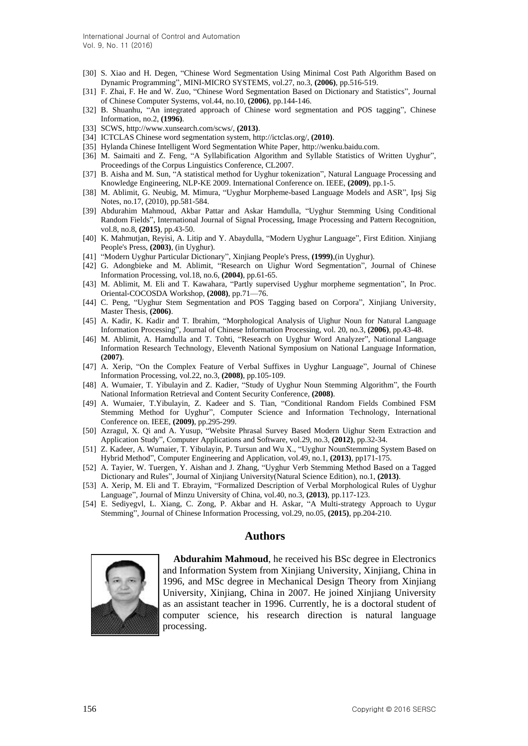- [30] S. Xiao and H. Degen, "Chinese Word Segmentation Using Minimal Cost Path Algorithm Based on Dynamic Programming", MINI-MICRO SYSTEMS, vol.27, no.3, **(2006)**, pp.516-519.
- [31] F. Zhai, F. He and W. Zuo, "Chinese Word Segmentation Based on Dictionary and Statistics", Journal of Chinese Computer Systems, vol.44, no.10, **(2006)**, pp.144-146.
- [32] B. Shuanhu, "An integrated approach of Chinese word segmentation and POS tagging", Chinese Information, no.2, **(1996)**.
- [33] SCWS, http://www.xunsearch.com/scws/, **(2013)**.
- [34] ICTCLAS Chinese word segmentation system, http://ictclas.org/, **(2010)**.
- [35] Hylanda Chinese Intelligent Word Segmentation White Paper[, http://wenku.baidu.com.](http://wenku.baidu.com/)
- [36] M. [Saimaiti](http://xueshu.baidu.com/s?wd=author%3A%28Maimaitimin%20Saimaiti%29%20&tn=SE_baiduxueshu_c1gjeupa&ie=utf-8&sc_f_para=sc_hilight%3Dperson) and [Z. Feng,](http://xueshu.baidu.com/s?wd=author%3A%28Zhiwei%20Feng%29%20&tn=SE_baiduxueshu_c1gjeupa&ie=utf-8&sc_f_para=sc_hilight%3Dperson) "A Syllabification Algorithm and Syllable Statistics of Written Uyghur", Proceedings of the Corpus Linguistics Conference, CL2007.
- [37] B. Aisha and M. Sun, "A statistical method for Uyghur tokenization", Natural Language Processing and Knowledge Engineering, NLP-KE 2009. International Conference on. IEEE, **(2009)**, pp.1-5.
- [38] M. Ablimit, G. Neubig, M. Mimura, "Uyghur Morpheme-based Language Models and ASR", Ipsj Sig Notes, no.17, (2010), pp.581-584.
- [39] Abdurahim Mahmoud, Akbar Pattar and Askar Hamdulla, "Uyghur Stemming Using Conditional Random Fields", International Journal of Signal Processing, Image Processing and Pattern Recognition, vol.8, no.8, **(2015)**, pp.43-50.
- [40] K. Mahmutjan, Reyisi, A. Litip and Y. Abaydulla, "Modern Uyghur Language", First Edition. Xinjiang People's Press, **(2003)**, (in Uyghur).
- [41] "Modern Uyghur Particular Dictionary", Xinjiang People's Press, **(1999)**,(in Uyghur).
- [42] G. Adongbieke and M. Ablimit, "Research on Uighur Word Segmentation", Journal of Chinese Information Processing, vol.18, no.6, **(2004)**, pp.61-65.
- [43] M. Ablimit, M. Eli and T. Kawahara, "Partly supervised Uyghur morpheme segmentation", In Proc. Oriental-COCOSDA Workshop, **(2008)**, pp.71—76.
- [44] C. Peng, "Uyghur Stem Segmentation and POS Tagging based on Corpora", Xinjiang University, Master Thesis, **(2006)**.
- [45] A. Kadir, K. Kadir and T. Ibrahim, "Morphological Analysis of Uighur Noun for Natural Language Information Processing", Journal of Chinese Information Processing, vol. 20, no.3, **(2006)**, pp.43-48.
- [46] M. Ablimit, A. Hamdulla and T. Tohti, "Reseacrh on Uyghur Word Analyzer", National Language Information Research Technology, Eleventh National Symposium on National Language Information, **(2007)**.
- [47] A. Xerip, "On the Complex Feature of Verbal Suffixes in Uyghur Language", Journal of Chinese Information Processing, vol.22, no.3, **(2008)**, pp.105-109.
- [48] A. Wumaier, T. Yibulayin and Z. Kadier, "Study of Uyghur Noun Stemming Algorithm", the Fourth National Information Retrieval and Content Security Conference, **(2008)**.
- [49] A. Wumaier, T.Yibulayin, Z. Kadeer and S. Tian, "Conditional Random Fields Combined FSM Stemming Method for Uyghur", Computer Science and Information Technology, International Conference on. IEEE, **(2009)**, pp.295-299.
- [50] Azragul, X. Qi and A. Yusup, "Website Phrasal Survey Based Modern Uighur Stem Extraction and Application Study", Computer Applications and Software, vol.29, no.3, **(2012)**, pp.32-34.
- [51] Z. Kadeer, A. Wumaier, T. Yibulayin, P. Tursun and Wu X., "Uyghur NounStemming System Based on Hybrid Method", Computer Engineering and Application, vol.49, no.1, **(2013)**, pp171-175.
- [52] A. Tayier, W. Tuergen, Y. Aishan and J. Zhang, "Uyghur Verb Stemming Method Based on a Tagged Dictionary and Rules", Journal of Xinjiang University(Natural Science Edition), no.1, **(2013)**.
- [53] A. Xerip, M. Eli and T. Ebrayim, "Formalized Description of Verbal Morphological Rules of Uyghur Language", Journal of Minzu University of China, vol.40, no.3, **(2013)**, pp.117-123.
- [54] E. Sediyegvl, L. Xiang, C. Zong, P. Akbar and H. Askar, "A Multi-strategy Approach to Uygur Stemming", Journal of Chinese Information Processing, vol.29, no.05, **(2015)**, pp.204-210.

# **Authors**



**Abdurahim Mahmoud**, he received his BSc degree in Electronics and Information System from Xinjiang University, Xinjiang, China in 1996, and MSc degree in Mechanical Design Theory from Xinjiang University, Xinjiang, China in 2007. He joined Xinjiang University as an assistant teacher in 1996. Currently, he is a doctoral student of computer science, his research direction is natural language processing.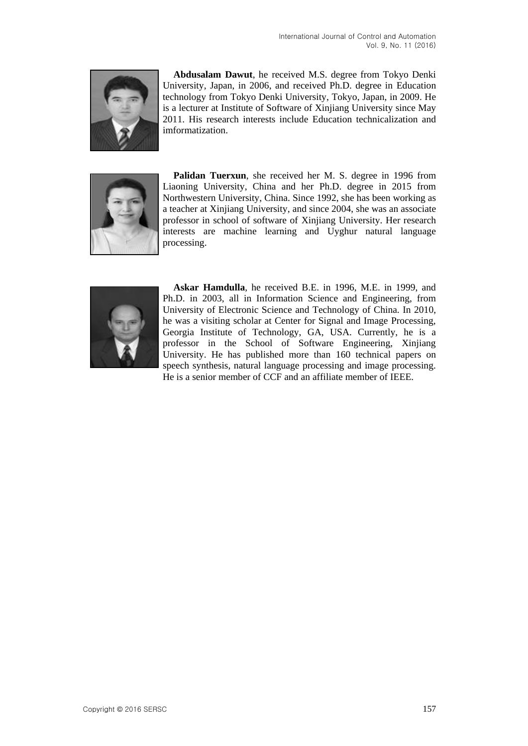

**Abdusalam Dawut**, he received M.S. degree from Tokyo Denki University, Japan, in 2006, and received Ph.D. degree in Education technology from Tokyo Denki University, Tokyo, Japan, in 2009. He is a lecturer at Institute of Software of Xinjiang University since May 2011. His research interests include Education technicalization and imformatization.



Palidan Tuerxun, she received her M. S. degree in 1996 from Liaoning University, China and her Ph.D. degree in 2015 from Northwestern University, China. Since 1992, she has been working as a teacher at Xinjiang University, and since 2004, she was an associate professor in school of software of Xinjiang University. Her research interests are machine learning and Uyghur natural language processing.



**Askar Hamdulla**, he received B.E. in 1996, M.E. in 1999, and Ph.D. in 2003, all in Information Science and Engineering, from University of Electronic Science and Technology of China. In 2010, he was a visiting scholar at Center for Signal and Image Processing, Georgia Institute of Technology, GA, USA. Currently, he is a professor in the School of Software Engineering, Xinjiang University. He has published more than 160 technical papers on speech synthesis, natural language processing and image processing. He is a senior member of CCF and an affiliate member of IEEE.